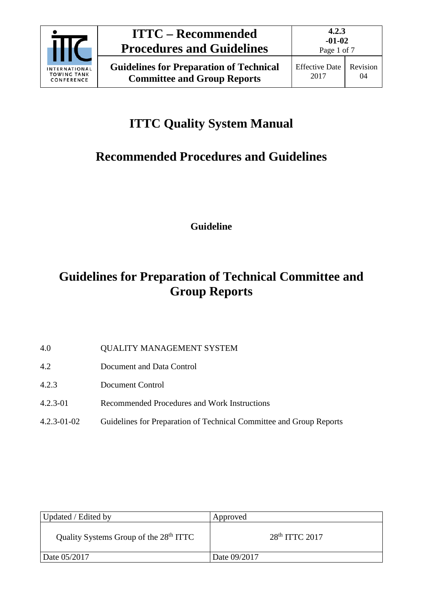

# **ITTC Quality System Manual**

# **Recommended Procedures and Guidelines**

**Guideline**

## **Guidelines for Preparation of Technical Committee and Group Reports**

- 4.0 QUALITY MANAGEMENT SYSTEM
- 4.2 Document and Data Control
- 4.2.3 Document Control
- 4.2.3-01 Recommended Procedures and Work Instructions
- 4.2.3-01-02 Guidelines for Preparation of Technical Committee and Group Reports

| Updated / Edited by                                | Approved         |
|----------------------------------------------------|------------------|
| Quality Systems Group of the 28 <sup>th</sup> ITTC | $28th$ ITTC 2017 |
| Date 05/2017                                       | Date 09/2017     |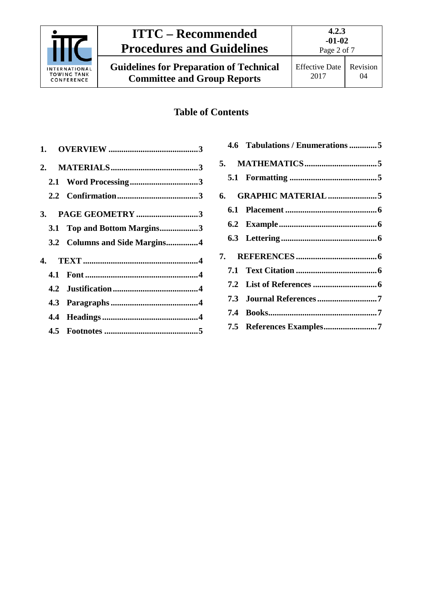

### **ITTC – Recommended Procedures and Guidelines**

**Guidelines for Preparation of Technical Committee and Group Reports**

04

### **Table of Contents**

| 3.1 Top and Bottom Margins3   |  |
|-------------------------------|--|
| 3.2 Columns and Side Margins4 |  |
|                               |  |
|                               |  |
|                               |  |
|                               |  |
|                               |  |
|                               |  |

| 4.6 Tabulations / Enumerations 5 |  |
|----------------------------------|--|
|                                  |  |
|                                  |  |
|                                  |  |
|                                  |  |
|                                  |  |
|                                  |  |
|                                  |  |
|                                  |  |
|                                  |  |
|                                  |  |
|                                  |  |
|                                  |  |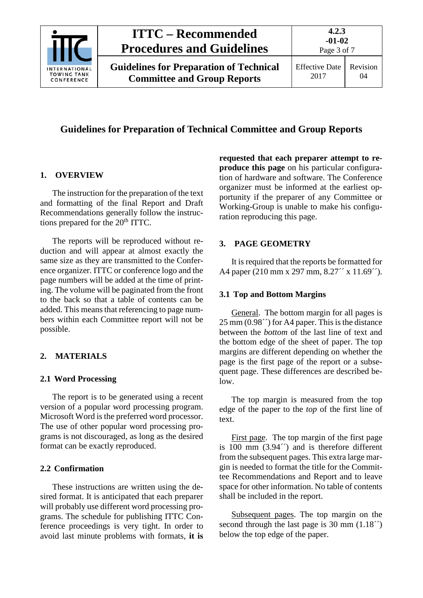

#### **Guidelines for Preparation of Technical Committee and Group Reports**

#### <span id="page-2-0"></span>**1. OVERVIEW**

The instruction for the preparation of the text and formatting of the final Report and Draft Recommendations generally follow the instructions prepared for the 20<sup>th</sup> ITTC.

The reports will be reproduced without reduction and will appear at almost exactly the same size as they are transmitted to the Conference organizer. ITTC or conference logo and the page numbers will be added at the time of printing. The volume will be paginated from the front to the back so that a table of contents can be added. This means that referencing to page numbers within each Committee report will not be possible.

#### <span id="page-2-2"></span><span id="page-2-1"></span>**2. MATERIALS**

#### **2.1 Word Processing**

The report is to be generated using a recent version of a popular word processing program. Microsoft Word is the preferred word processor. The use of other popular word processing programs is not discouraged, as long as the desired format can be exactly reproduced.

#### <span id="page-2-3"></span>**2.2 Confirmation**

These instructions are written using the desired format. It is anticipated that each preparer will probably use different word processing programs. The schedule for publishing ITTC Conference proceedings is very tight. In order to avoid last minute problems with formats, **it is** 

**requested that each preparer attempt to reproduce this page** on his particular configuration of hardware and software. The Conference organizer must be informed at the earliest opportunity if the preparer of any Committee or Working-Group is unable to make his configuration reproducing this page.

#### <span id="page-2-4"></span>**3. PAGE GEOMETRY**

It is required that the reports be formatted for A4 paper (210 mm x 297 mm, 8.27<sup> $\gamma$ </sup> x 11.69 $\gamma$ ).

#### <span id="page-2-5"></span>**3.1 Top and Bottom Margins**

General. The bottom margin for all pages is  $25 \overline{\text{mm} (0.98\degree)}$  for A4 paper. This is the distance between the *bottom* of the last line of text and the bottom edge of the sheet of paper. The top margins are different depending on whether the page is the first page of the report or a subsequent page. These differences are described below.

The top margin is measured from the top edge of the paper to the *top* of the first line of text.

First page. The top margin of the first page is 100 mm (3.94´´) and is therefore different from the subsequent pages. This extra large margin is needed to format the title for the Committee Recommendations and Report and to leave space for other information. No table of contents shall be included in the report.

Subsequent pages. The top margin on the second through the last page is 30 mm  $(1.18<sup>2</sup>)$ below the top edge of the paper.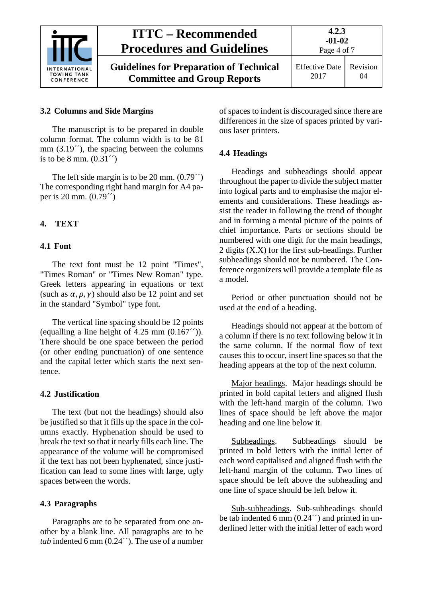

#### <span id="page-3-0"></span>**3.2 Columns and Side Margins**

The manuscript is to be prepared in double column format. The column width is to be 81 mm  $(3.19^{\prime\prime})$ , the spacing between the columns is to be 8 mm.  $(0.31<sup>′</sup>)$ 

The left side margin is to be 20 mm. (0.79´´) The corresponding right hand margin for A4 paper is 20 mm. (0.79´´)

#### <span id="page-3-2"></span><span id="page-3-1"></span>**4. TEXT**

#### **4.1 Font**

The text font must be 12 point "Times", "Times Roman" or "Times New Roman" type. Greek letters appearing in equations or text (such as  $\alpha$ ,  $\rho$ ,  $\gamma$ ) should also be 12 point and set in the standard "Symbol" type font.

The vertical line spacing should be 12 points (equalling a line height of  $4.25$  mm  $(0.167^{\prime\prime})$ ). There should be one space between the period (or other ending punctuation) of one sentence and the capital letter which starts the next sentence.

#### <span id="page-3-3"></span>**4.2 Justification**

The text (but not the headings) should also be justified so that it fills up the space in the columns exactly. Hyphenation should be used to break the text so that it nearly fills each line. The appearance of the volume will be compromised if the text has not been hyphenated, since justification can lead to some lines with large, ugly spaces between the words.

#### <span id="page-3-4"></span>**4.3 Paragraphs**

Paragraphs are to be separated from one another by a blank line. All paragraphs are to be *tab* indented 6 mm (0.24´´). The use of a number of spaces to indent is discouraged since there are differences in the size of spaces printed by various laser printers.

#### <span id="page-3-5"></span>**4.4 Headings**

Headings and subheadings should appear throughout the paper to divide the subject matter into logical parts and to emphasise the major elements and considerations. These headings assist the reader in following the trend of thought and in forming a mental picture of the points of chief importance. Parts or sections should be numbered with one digit for the main headings, 2 digits (X.X) for the first sub-headings. Further subheadings should not be numbered. The Conference organizers will provide a template file as a model.

Period or other punctuation should not be used at the end of a heading.

Headings should not appear at the bottom of a column if there is no text following below it in the same column. If the normal flow of text causes this to occur, insert line spaces so that the heading appears at the top of the next column.

Major headings. Major headings should be printed in bold capital letters and aligned flush with the left-hand margin of the column. Two lines of space should be left above the major heading and one line below it.

Subheadings. Subheadings should be printed in bold letters with the initial letter of each word capitalised and aligned flush with the left-hand margin of the column. Two lines of space should be left above the subheading and one line of space should be left below it.

Sub-subheadings. Sub-subheadings should be tab indented 6 mm  $(0.24<sup>2</sup>)$  and printed in underlined letter with the initial letter of each word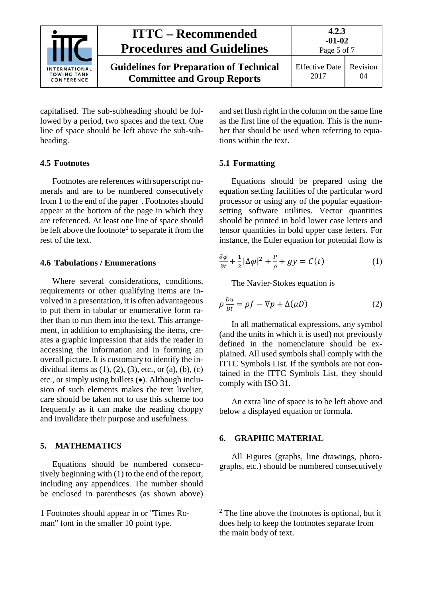|                                                   | <b>ITTC</b> – Recommended<br><b>Procedures and Guidelines</b>                        | 4.2.3<br>$-01-02$<br>Page 5 of 7 |                |
|---------------------------------------------------|--------------------------------------------------------------------------------------|----------------------------------|----------------|
| INTERNATIONAL<br><b>TOWING TANK</b><br>CONFERENCE | <b>Guidelines for Preparation of Technical</b><br><b>Committee and Group Reports</b> | <b>Effective Date</b><br>2017    | Revision<br>04 |

capitalised. The sub-subheading should be followed by a period, two spaces and the text. One line of space should be left above the sub-subheading.

#### <span id="page-4-0"></span>**4.5 Footnotes**

Footnotes are references with superscript numerals and are to be numbered consecutively from [1](#page-4-5) to the end of the paper<sup>1</sup>. Footnotes should appear at the bottom of the page in which they are referenced. At least one line of space should be left above the footnote<sup>[2](#page-4-5)</sup> to separate it from the rest of the text.

#### <span id="page-4-1"></span>**4.6 Tabulations / Enumerations**

Where several considerations, conditions, requirements or other qualifying items are involved in a presentation, it is often advantageous to put them in tabular or enumerative form rather than to run them into the text. This arrangement, in addition to emphasising the items, creates a graphic impression that aids the reader in accessing the information and in forming an overall picture. It is customary to identify the individual items as  $(1)$ ,  $(2)$ ,  $(3)$ , etc., or  $(a)$ ,  $(b)$ ,  $(c)$ etc., or simply using bullets (•). Although inclusion of such elements makes the text livelier, care should be taken not to use this scheme too frequently as it can make the reading choppy and invalidate their purpose and usefulness.

#### <span id="page-4-2"></span>**5. MATHEMATICS**

-

Equations should be numbered consecutively beginning with (1) to the end of the report, including any appendices. The number should be enclosed in parentheses (as shown above) and set flush right in the column on the same line as the first line of the equation. This is the number that should be used when referring to equations within the text.

#### <span id="page-4-3"></span>**5.1 Formatting**

Equations should be prepared using the equation setting facilities of the particular word processor or using any of the popular equationsetting software utilities. Vector quantities should be printed in bold lower case letters and tensor quantities in bold upper case letters. For instance, the Euler equation for potential flow is

$$
\frac{\partial \varphi}{\partial t} + \frac{1}{2} |\Delta \varphi|^2 + \frac{P}{\rho} + gy = C(t) \tag{1}
$$

The Navier-Stokes equation is

$$
\rho \frac{Du}{Dt} = \rho f - \nabla p + \Delta(\mu D) \tag{2}
$$

In all mathematical expressions, any symbol (and the units in which it is used) not previously defined in the nomenclature should be explained. All used symbols shall comply with the ITTC Symbols List. If the symbols are not contained in the ITTC Symbols List, they should comply with ISO 31.

An extra line of space is to be left above and below a displayed equation or formula.

#### <span id="page-4-4"></span>**6. GRAPHIC MATERIAL**

All Figures (graphs, line drawings, photographs, etc.) should be numbered consecutively

 $2^{\circ}$  The line above the footnotes is optional, but it does help to keep the footnotes separate from the main body of text.

<span id="page-4-5"></span><sup>1</sup> Footnotes should appear in or "Times Roman" font in the smaller 10 point type.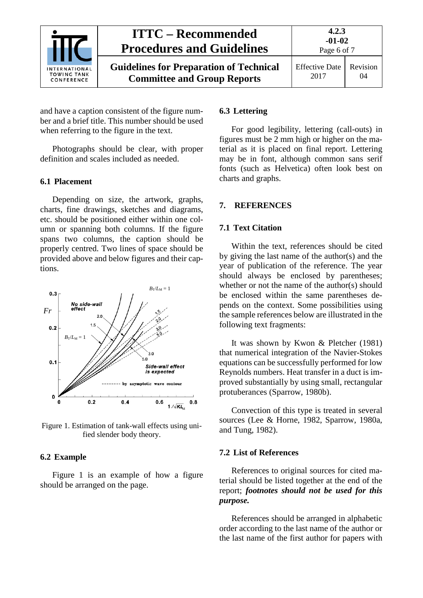

and have a caption consistent of the figure number and a brief title. This number should be used when referring to the figure in the text.

Photographs should be clear, with proper definition and scales included as needed.

#### <span id="page-5-0"></span>**6.1 Placement**

Depending on size, the artwork, graphs, charts, fine drawings, sketches and diagrams, etc. should be positioned either within one column or spanning both columns. If the figure spans two columns, the caption should be properly centred. Two lines of space should be provided above and below figures and their captions.



Figure 1. Estimation of tank-wall effects using unified slender body theory.

#### <span id="page-5-1"></span>**6.2 Example**

Figure 1 is an example of how a figure should be arranged on the page.

#### <span id="page-5-2"></span>**6.3 Lettering**

For good legibility, lettering (call-outs) in figures must be 2 mm high or higher on the material as it is placed on final report. Lettering may be in font, although common sans serif fonts (such as Helvetica) often look best on charts and graphs.

#### <span id="page-5-4"></span><span id="page-5-3"></span>**7. REFERENCES**

#### **7.1 Text Citation**

Within the text, references should be cited by giving the last name of the author(s) and the year of publication of the reference. The year should always be enclosed by parentheses; whether or not the name of the author(s) should be enclosed within the same parentheses depends on the context. Some possibilities using the sample references below are illustrated in the following text fragments:

It was shown by Kwon & Pletcher (1981) that numerical integration of the Navier-Stokes equations can be successfully performed for low Reynolds numbers. Heat transfer in a duct is improved substantially by using small, rectangular protuberances (Sparrow, 1980b).

Convection of this type is treated in several sources (Lee & Horne, 1982, Sparrow, 1980a, and Tung, 1982).

#### <span id="page-5-5"></span>**7.2 List of References**

References to original sources for cited material should be listed together at the end of the report; *footnotes should not be used for this purpose.*

References should be arranged in alphabetic order according to the last name of the author or the last name of the first author for papers with